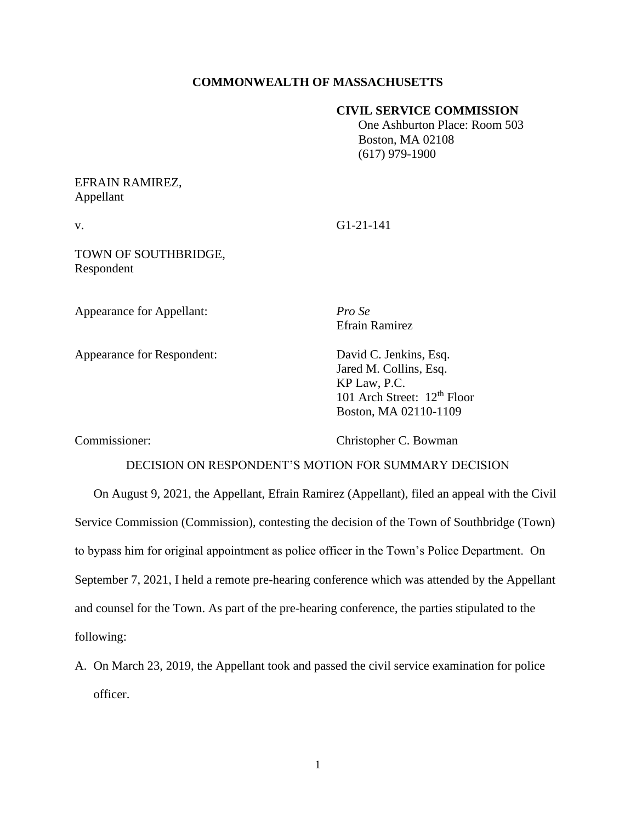## **COMMONWEALTH OF MASSACHUSETTS**

#### **CIVIL SERVICE COMMISSION**

 One Ashburton Place: Room 503 Boston, MA 02108 (617) 979-1900

# EFRAIN RAMIREZ, Appellant

v. G1-21-141

TOWN OF SOUTHBRIDGE, Respondent

Appearance for Appellant: *Pro Se*

Appearance for Respondent: David C. Jenkins, Esq.

Efrain Ramirez

Jared M. Collins, Esq. KP Law, P.C. 101 Arch Street: 12<sup>th</sup> Floor Boston, MA 02110-1109

Commissioner: Christopher C. Bowman

## DECISION ON RESPONDENT'S MOTION FOR SUMMARY DECISION

On August 9, 2021, the Appellant, Efrain Ramirez (Appellant), filed an appeal with the Civil Service Commission (Commission), contesting the decision of the Town of Southbridge (Town) to bypass him for original appointment as police officer in the Town's Police Department. On September 7, 2021, I held a remote pre-hearing conference which was attended by the Appellant and counsel for the Town. As part of the pre-hearing conference, the parties stipulated to the following:

A. On March 23, 2019, the Appellant took and passed the civil service examination for police officer.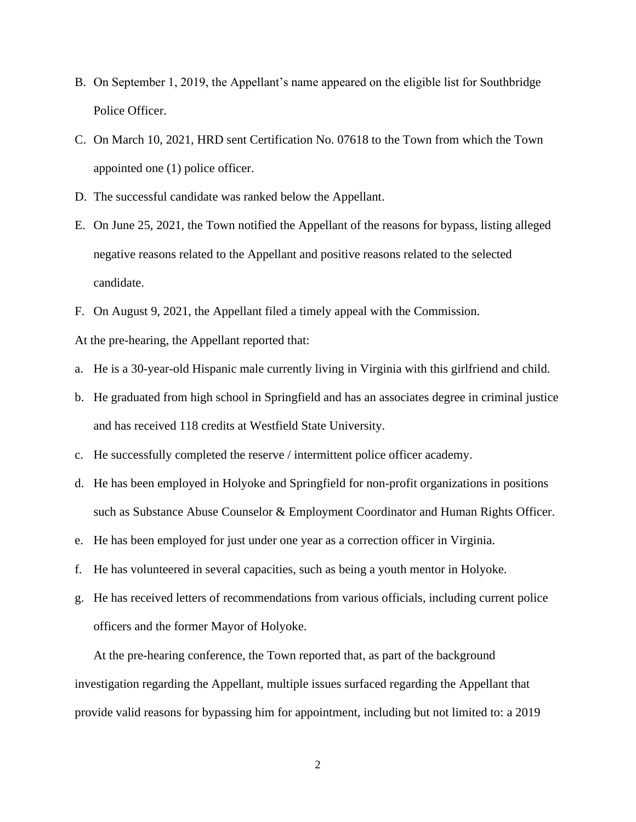- B. On September 1, 2019, the Appellant's name appeared on the eligible list for Southbridge Police Officer.
- C. On March 10, 2021, HRD sent Certification No. 07618 to the Town from which the Town appointed one (1) police officer.
- D. The successful candidate was ranked below the Appellant.
- E. On June 25, 2021, the Town notified the Appellant of the reasons for bypass, listing alleged negative reasons related to the Appellant and positive reasons related to the selected candidate.
- F. On August 9, 2021, the Appellant filed a timely appeal with the Commission.

At the pre-hearing, the Appellant reported that:

- a. He is a 30-year-old Hispanic male currently living in Virginia with this girlfriend and child.
- b. He graduated from high school in Springfield and has an associates degree in criminal justice and has received 118 credits at Westfield State University.
- c. He successfully completed the reserve / intermittent police officer academy.
- d. He has been employed in Holyoke and Springfield for non-profit organizations in positions such as Substance Abuse Counselor & Employment Coordinator and Human Rights Officer.
- e. He has been employed for just under one year as a correction officer in Virginia.
- f. He has volunteered in several capacities, such as being a youth mentor in Holyoke.
- g. He has received letters of recommendations from various officials, including current police officers and the former Mayor of Holyoke.

At the pre-hearing conference, the Town reported that, as part of the background investigation regarding the Appellant, multiple issues surfaced regarding the Appellant that provide valid reasons for bypassing him for appointment, including but not limited to: a 2019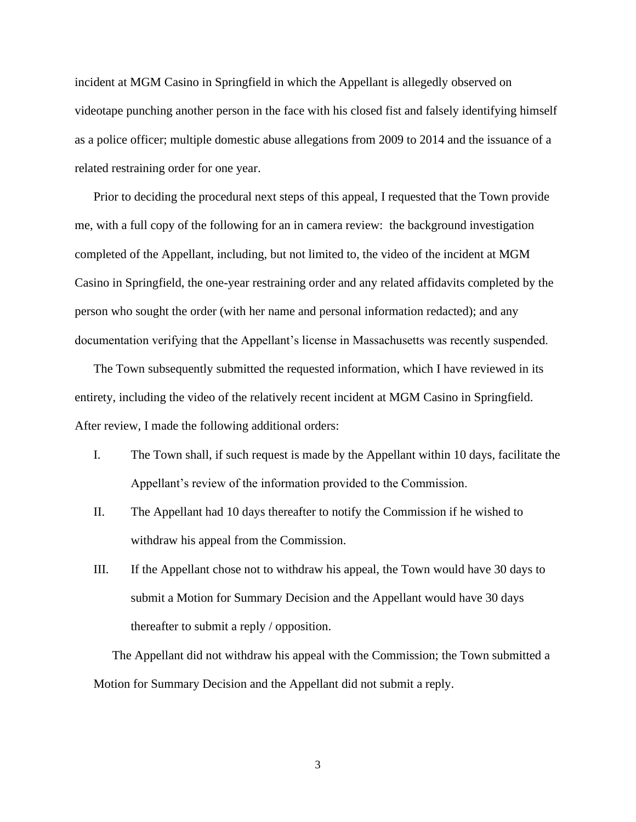incident at MGM Casino in Springfield in which the Appellant is allegedly observed on videotape punching another person in the face with his closed fist and falsely identifying himself as a police officer; multiple domestic abuse allegations from 2009 to 2014 and the issuance of a related restraining order for one year.

Prior to deciding the procedural next steps of this appeal, I requested that the Town provide me, with a full copy of the following for an in camera review: the background investigation completed of the Appellant, including, but not limited to, the video of the incident at MGM Casino in Springfield, the one-year restraining order and any related affidavits completed by the person who sought the order (with her name and personal information redacted); and any documentation verifying that the Appellant's license in Massachusetts was recently suspended.

The Town subsequently submitted the requested information, which I have reviewed in its entirety, including the video of the relatively recent incident at MGM Casino in Springfield. After review, I made the following additional orders:

- I. The Town shall, if such request is made by the Appellant within 10 days, facilitate the Appellant's review of the information provided to the Commission.
- II. The Appellant had 10 days thereafter to notify the Commission if he wished to withdraw his appeal from the Commission.
- III. If the Appellant chose not to withdraw his appeal, the Town would have 30 days to submit a Motion for Summary Decision and the Appellant would have 30 days thereafter to submit a reply / opposition.

The Appellant did not withdraw his appeal with the Commission; the Town submitted a Motion for Summary Decision and the Appellant did not submit a reply.

3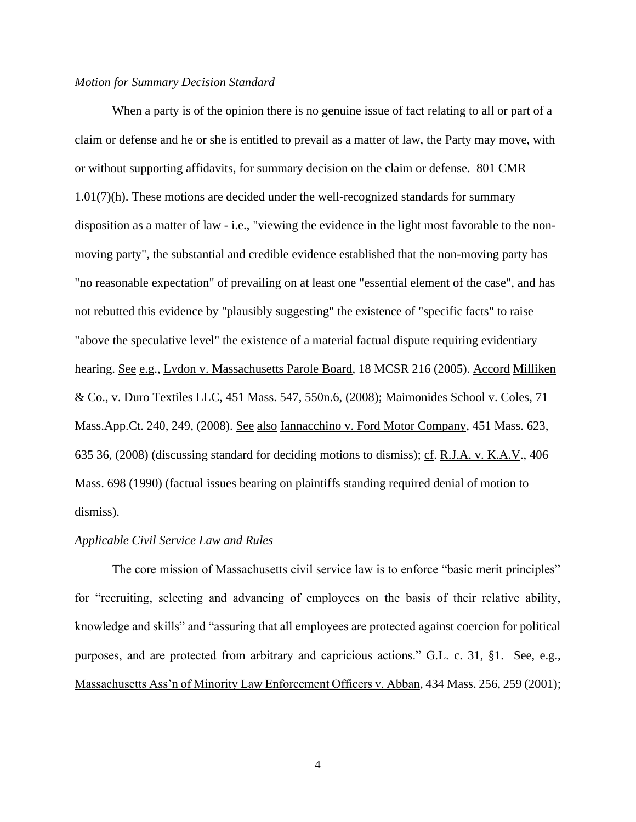### *Motion for Summary Decision Standard*

When a party is of the opinion there is no genuine issue of fact relating to all or part of a claim or defense and he or she is entitled to prevail as a matter of law, the Party may move, with or without supporting affidavits, for summary decision on the claim or defense. 801 CMR 1.01(7)(h). These motions are decided under the well-recognized standards for summary disposition as a matter of law - i.e., "viewing the evidence in the light most favorable to the nonmoving party", the substantial and credible evidence established that the non-moving party has "no reasonable expectation" of prevailing on at least one "essential element of the case", and has not rebutted this evidence by "plausibly suggesting" the existence of "specific facts" to raise "above the speculative level" the existence of a material factual dispute requiring evidentiary hearing. See e.g., Lydon v. Massachusetts Parole Board, 18 MCSR 216 (2005). Accord Milliken & Co., v. Duro Textiles LLC, [451 Mass. 547,](http://sll.gvpi.net/document.php?field=jd&value=sjcapp:451_mass._547) 550n.6, (2008); Maimonides School v. Coles, 71 Mass.App.Ct. 240, 249, (2008). See also Iannacchino v. Ford Motor Company, [451 Mass. 623,](http://sll.gvpi.net/document.php?field=jd&value=sjcapp:451_mass._623) 635 36, (2008) (discussing standard for deciding motions to dismiss); cf. R.J.A. v. K.A.V., [406](http://sll.gvpi.net/document.php?field=jd&value=sjcapp:406_mass._698)  [Mass. 698](http://sll.gvpi.net/document.php?field=jd&value=sjcapp:406_mass._698) (1990) (factual issues bearing on plaintiffs standing required denial of motion to dismiss).

## *Applicable Civil Service Law and Rules*

The core mission of Massachusetts civil service law is to enforce "basic merit principles" for "recruiting, selecting and advancing of employees on the basis of their relative ability, knowledge and skills" and "assuring that all employees are protected against coercion for political purposes, and are protected from arbitrary and capricious actions." G.L. c. 31, §1. See, e.g., Massachusetts Ass'n of Minority Law Enforcement Officers v. Abban, 434 Mass. 256, 259 (2001);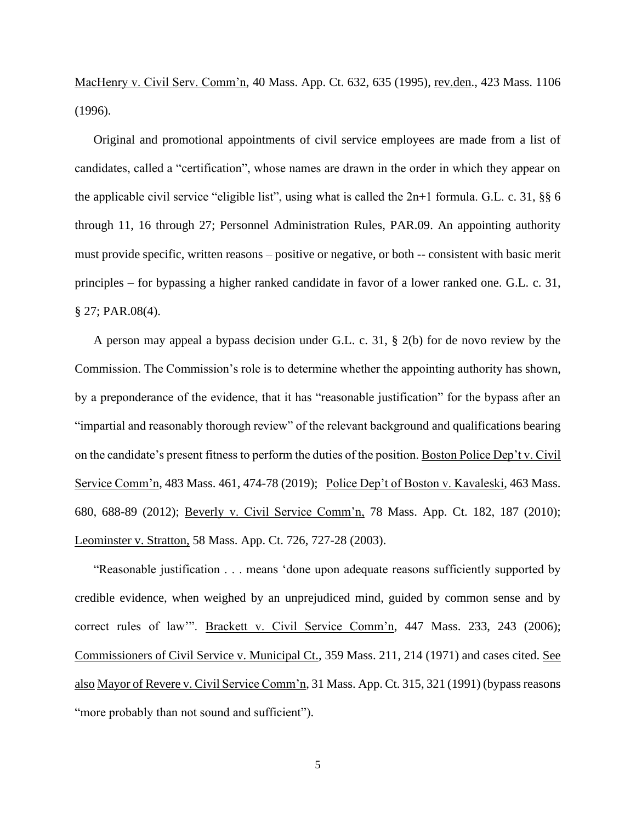MacHenry v. Civil Serv. Comm'n, 40 Mass. App. Ct. 632, 635 (1995), rev.den., 423 Mass. 1106 (1996).

Original and promotional appointments of civil service employees are made from a list of candidates, called a "certification", whose names are drawn in the order in which they appear on the applicable civil service "eligible list", using what is called the 2n+1 formula. G.L. c. 31, §§ 6 through 11, 16 through 27; Personnel Administration Rules, PAR.09. An appointing authority must provide specific, written reasons – positive or negative, or both -- consistent with basic merit principles – for bypassing a higher ranked candidate in favor of a lower ranked one. G.L. c. 31, § 27; PAR.08(4).

A person may appeal a bypass decision under G.L. c. 31, § 2(b) for de novo review by the Commission. The Commission's role is to determine whether the appointing authority has shown, by a preponderance of the evidence, that it has "reasonable justification" for the bypass after an "impartial and reasonably thorough review" of the relevant background and qualifications bearing on the candidate's present fitness to perform the duties of the position. Boston Police Dep't v. Civil Service Comm'n, 483 Mass. 461, 474-78 (2019); Police Dep't of Boston v. Kavaleski, 463 Mass. 680, 688-89 (2012); Beverly v. Civil Service Comm'n, 78 Mass. App. Ct. 182, 187 (2010); Leominster v. Stratton, 58 Mass. App. Ct. 726, 727-28 (2003).

"Reasonable justification . . . means 'done upon adequate reasons sufficiently supported by credible evidence, when weighed by an unprejudiced mind, guided by common sense and by correct rules of law'". Brackett v. Civil Service Comm'n, 447 Mass. 233, 243 (2006); Commissioners of Civil Service v. Municipal Ct., 359 Mass. 211, 214 (1971) and cases cited. See also Mayor of Revere v. Civil Service Comm'n, 31 Mass. App. Ct. 315, 321 (1991) (bypass reasons "more probably than not sound and sufficient").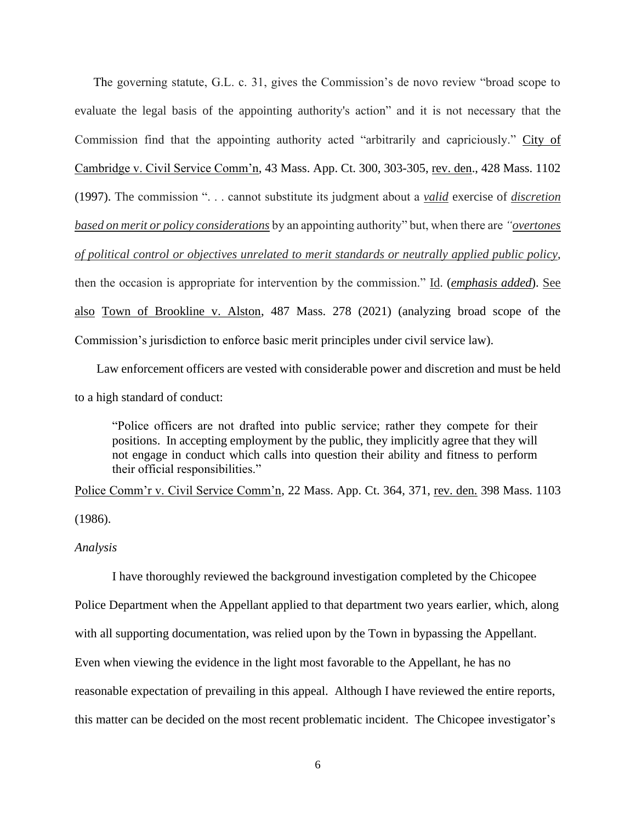The governing statute, G.L. c. 31, gives the Commission's de novo review "broad scope to evaluate the legal basis of the appointing authority's action" and it is not necessary that the Commission find that the appointing authority acted "arbitrarily and capriciously." City of Cambridge v. Civil Service Comm'n, 43 Mass. App. Ct. 300, 303-305, rev. den., 428 Mass. 1102 (1997). The commission ". . . cannot substitute its judgment about a *valid* exercise of *discretion based on merit or policy considerations* by an appointing authority" but, when there are *"overtones of political control or objectives unrelated to merit standards or neutrally applied public policy*, then the occasion is appropriate for intervention by the commission." Id. (*emphasis added*). See also Town of Brookline v. Alston, 487 Mass. 278 (2021) (analyzing broad scope of the Commission's jurisdiction to enforce basic merit principles under civil service law).

 Law enforcement officers are vested with considerable power and discretion and must be held to a high standard of conduct:

"Police officers are not drafted into public service; rather they compete for their positions. In accepting employment by the public, they implicitly agree that they will not engage in conduct which calls into question their ability and fitness to perform their official responsibilities."

Police Comm'r v. Civil Service Comm'n, 22 Mass. App. Ct. 364, 371, rev. den. 398 Mass. 1103 (1986).

*Analysis*

I have thoroughly reviewed the background investigation completed by the Chicopee Police Department when the Appellant applied to that department two years earlier, which, along with all supporting documentation, was relied upon by the Town in bypassing the Appellant. Even when viewing the evidence in the light most favorable to the Appellant, he has no reasonable expectation of prevailing in this appeal. Although I have reviewed the entire reports, this matter can be decided on the most recent problematic incident. The Chicopee investigator's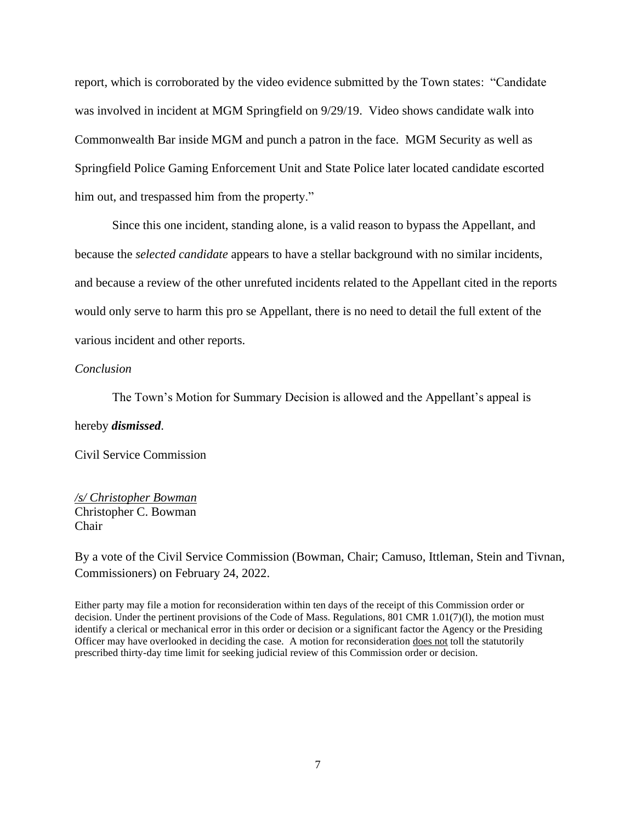report, which is corroborated by the video evidence submitted by the Town states: "Candidate was involved in incident at MGM Springfield on 9/29/19. Video shows candidate walk into Commonwealth Bar inside MGM and punch a patron in the face. MGM Security as well as Springfield Police Gaming Enforcement Unit and State Police later located candidate escorted him out, and trespassed him from the property."

Since this one incident, standing alone, is a valid reason to bypass the Appellant, and because the *selected candidate* appears to have a stellar background with no similar incidents, and because a review of the other unrefuted incidents related to the Appellant cited in the reports would only serve to harm this pro se Appellant, there is no need to detail the full extent of the various incident and other reports.

#### *Conclusion*

The Town's Motion for Summary Decision is allowed and the Appellant's appeal is

#### hereby *dismissed*.

Civil Service Commission

*/s/ Christopher Bowman* Christopher C. Bowman Chair

By a vote of the Civil Service Commission (Bowman, Chair; Camuso, Ittleman, Stein and Tivnan, Commissioners) on February 24, 2022.

Either party may file a motion for reconsideration within ten days of the receipt of this Commission order or decision. Under the pertinent provisions of the Code of Mass. Regulations, 801 CMR 1.01(7)(l), the motion must identify a clerical or mechanical error in this order or decision or a significant factor the Agency or the Presiding Officer may have overlooked in deciding the case. A motion for reconsideration does not toll the statutorily prescribed thirty-day time limit for seeking judicial review of this Commission order or decision.